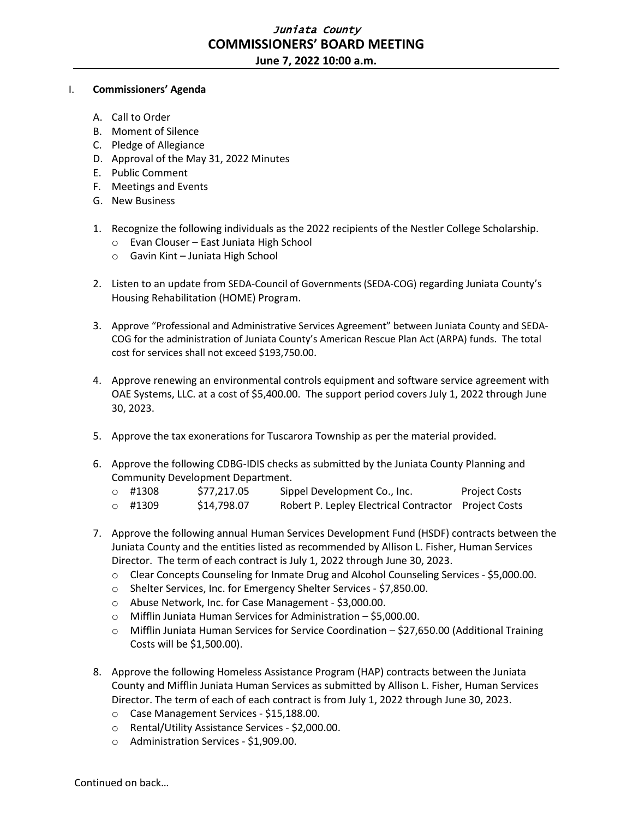## Juniata County **COMMISSIONERS' BOARD MEETING**

**June 7, 2022 10:00 a.m.**

## I. **Commissioners' Agenda**

- A. Call to Order
- B. Moment of Silence
- C. Pledge of Allegiance
- D. Approval of the May 31, 2022 Minutes
- E. Public Comment
- F. Meetings and Events
- G. New Business
- 1. Recognize the following individuals as the 2022 recipients of the Nestler College Scholarship.
	- o Evan Clouser East Juniata High School
	- o Gavin Kint Juniata High School
- 2. Listen to an update from SEDA-Council of Governments (SEDA-COG) regarding Juniata County's Housing Rehabilitation (HOME) Program.
- 3. Approve "Professional and Administrative Services Agreement" between Juniata County and SEDA-COG for the administration of Juniata County's American Rescue Plan Act (ARPA) funds. The total cost for services shall not exceed \$193,750.00.
- 4. Approve renewing an environmental controls equipment and software service agreement with OAE Systems, LLC. at a cost of \$5,400.00. The support period covers July 1, 2022 through June 30, 2023.
- 5. Approve the tax exonerations for Tuscarora Township as per the material provided.
- 6. Approve the following CDBG-IDIS checks as submitted by the Juniata County Planning and Community Development Department.

| $\circ$ #1308 | \$77,217.05 | Sippel Development Co., Inc.                         | <b>Project Costs</b> |
|---------------|-------------|------------------------------------------------------|----------------------|
| $\circ$ #1309 | \$14,798.07 | Robert P. Lepley Electrical Contractor Project Costs |                      |

- 7. Approve the following annual Human Services Development Fund (HSDF) contracts between the Juniata County and the entities listed as recommended by Allison L. Fisher, Human Services Director. The term of each contract is July 1, 2022 through June 30, 2023.
	- o Clear Concepts Counseling for Inmate Drug and Alcohol Counseling Services \$5,000.00.
	- o Shelter Services, Inc. for Emergency Shelter Services \$7,850.00.
	- o Abuse Network, Inc. for Case Management \$3,000.00.
	- o Mifflin Juniata Human Services for Administration \$5,000.00.
	- o Mifflin Juniata Human Services for Service Coordination \$27,650.00 (Additional Training Costs will be \$1,500.00).
- 8. Approve the following Homeless Assistance Program (HAP) contracts between the Juniata County and Mifflin Juniata Human Services as submitted by Allison L. Fisher, Human Services Director. The term of each of each contract is from July 1, 2022 through June 30, 2023.
	- o Case Management Services \$15,188.00.
	- o Rental/Utility Assistance Services \$2,000.00.
	- o Administration Services \$1,909.00.